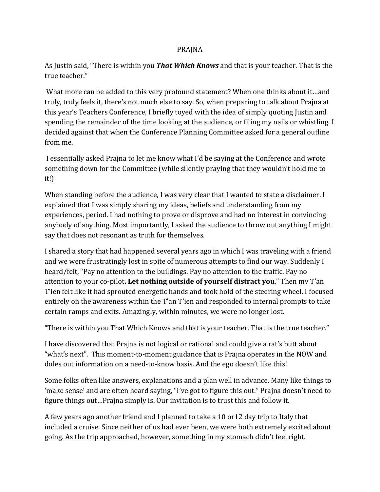## PRAJNA

As Justin said, "There is within you **That Which Knows** and that is your teacher. That is the true teacher."

What more can be added to this very profound statement? When one thinks about it…and truly, truly feels it, there's not much else to say. So, when preparing to talk about Prajna at this year's Teachers Conference, I briefly toyed with the idea of simply quoting Justin and spending the remainder of the time looking at the audience, or filing my nails or whistling. I decided against that when the Conference Planning Committee asked for a general outline from me.

I essentially asked Prajna to let me know what I'd be saying at the Conference and wrote something down for the Committee (while silently praying that they wouldn't hold me to it!)

When standing before the audience, I was very clear that I wanted to state a disclaimer. I explained that I was simply sharing my ideas, beliefs and understanding from my experiences, period. I had nothing to prove or disprove and had no interest in convincing anybody of anything. Most importantly, I asked the audience to throw out anything I might say that does not resonant as truth for themselves.

I shared a story that had happened several years ago in which I was traveling with a friend and we were frustratingly lost in spite of numerous attempts to find our way. Suddenly I heard/felt, "Pay no attention to the buildings. Pay no attention to the traffic. Pay no attention to your co-pilot. Let nothing outside of yourself distract you." Then my T'an T'ien felt like it had sprouted energetic hands and took hold of the steering wheel. I focused entirely on the awareness within the T'an T'ien and responded to internal prompts to take certain ramps and exits. Amazingly, within minutes, we were no longer lost.

"There is within you That Which Knows and that is your teacher. That is the true teacher."

I have discovered that Prajna is not logical or rational and could give a rat's butt about "what's next". This moment-to-moment guidance that is Prajna operates in the NOW and doles out information on a need-to-know basis. And the ego doesn't like this!

Some folks often like answers, explanations and a plan well in advance. Many like things to 'make sense' and are often heard saying, "I've got to figure this out." Prajna doesn't need to figure things out...Prajna simply is. Our invitation is to trust this and follow it.

A few years ago another friend and I planned to take a 10 or 12 day trip to Italy that included a cruise. Since neither of us had ever been, we were both extremely excited about going. As the trip approached, however, something in my stomach didn't feel right.